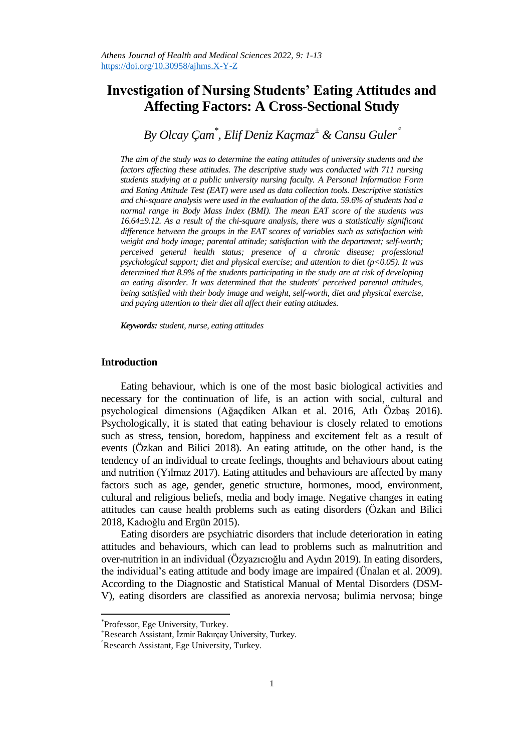# **Investigation of Nursing Students' Eating Attitudes and Affecting Factors: A Cross-Sectional Study**

*By Olcay Çam\* , Elif Deniz Kaçmaz<sup>±</sup> & Cansu Guler*

*The aim of the study was to determine the eating attitudes of university students and the factors affecting these attitudes. The descriptive study was conducted with 711 nursing students studying at a public university nursing faculty. A Personal Information Form and Eating Attitude Test (EAT) were used as data collection tools. Descriptive statistics and chi-square analysis were used in the evaluation of the data. 59.6% of students had a normal range in Body Mass Index (BMI). The mean EAT score of the students was 16.64±9.12. As a result of the chi-square analysis, there was a statistically significant difference between the groups in the EAT scores of variables such as satisfaction with weight and body image; parental attitude; satisfaction with the department; self-worth; perceived general health status; presence of a chronic disease; professional psychological support; diet and physical exercise; and attention to diet (p<0.05). It was determined that 8.9% of the students participating in the study are at risk of developing an eating disorder. It was determined that the students' perceived parental attitudes, being satisfied with their body image and weight, self-worth, diet and physical exercise, and paying attention to their diet all affect their eating attitudes.* 

*Keywords: student, nurse, eating attitudes*

## **Introduction**

Eating behaviour, which is one of the most basic biological activities and necessary for the continuation of life, is an action with social, cultural and psychological dimensions (Ağaçdiken Alkan et al. 2016, Atlı Özbaş 2016). Psychologically, it is stated that eating behaviour is closely related to emotions such as stress, tension, boredom, happiness and excitement felt as a result of events (Özkan and Bilici 2018). An eating attitude, on the other hand, is the tendency of an individual to create feelings, thoughts and behaviours about eating and nutrition (Yılmaz 2017). Eating attitudes and behaviours are affected by many factors such as age, gender, genetic structure, hormones, mood, environment, cultural and religious beliefs, media and body image. Negative changes in eating attitudes can cause health problems such as eating disorders (Özkan and Bilici 2018, Kadıoğlu and Ergün 2015).

Eating disorders are psychiatric disorders that include deterioration in eating attitudes and behaviours, which can lead to problems such as malnutrition and over-nutrition in an individual (Özyazıcıoğlu and Aydın 2019). In eating disorders, the individual's eating attitude and body image are impaired (Ünalan et al. 2009). According to the Diagnostic and Statistical Manual of Mental Disorders (DSM-V), eating disorders are classified as anorexia nervosa; bulimia nervosa; binge

 $\overline{a}$ 

<sup>\*</sup> Professor, Ege University, Turkey.

<sup>±</sup>Research Assistant, İzmir Bakırçay University, Turkey.

Research Assistant, Ege University, Turkey.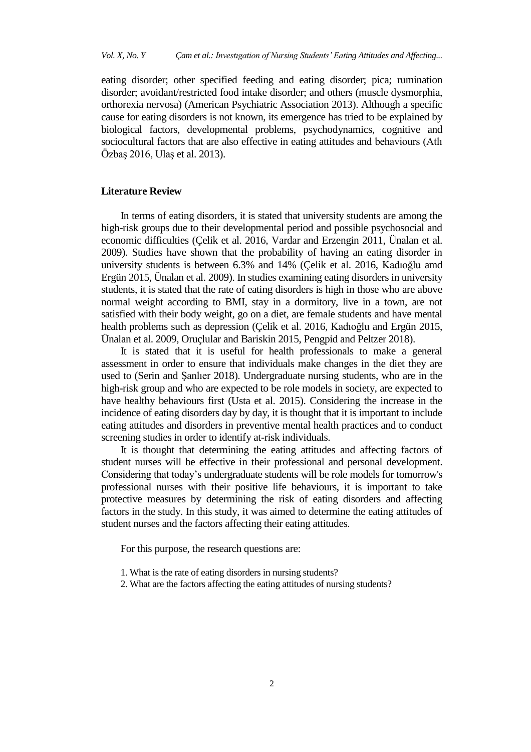eating disorder; other specified feeding and eating disorder; pica; rumination disorder; avoidant/restricted food intake disorder; and others (muscle dysmorphia, orthorexia nervosa) (American Psychiatric Association 2013). Although a specific cause for eating disorders is not known, its emergence has tried to be explained by biological factors, developmental problems, psychodynamics, cognitive and sociocultural factors that are also effective in eating attitudes and behaviours (Atlı Özbaş 2016, Ulaş et al. 2013).

### **Literature Review**

In terms of eating disorders, it is stated that university students are among the high-risk groups due to their developmental period and possible psychosocial and economic difficulties (Çelik et al. 2016, Vardar and Erzengin 2011, Ünalan et al. 2009). Studies have shown that the probability of having an eating disorder in university students is between 6.3% and 14% (Çelik et al. 2016, Kadıoğlu amd Ergün 2015, Ünalan et al. 2009). In studies examining eating disorders in university students, it is stated that the rate of eating disorders is high in those who are above normal weight according to BMI, stay in a dormitory, live in a town, are not satisfied with their body weight, go on a diet, are female students and have mental health problems such as depression (Çelik et al. 2016, Kadıoğlu and Ergün 2015, Ünalan et al. 2009, Oruçlular and Bariskin 2015, Pengpid and Peltzer 2018).

It is stated that it is useful for health professionals to make a general assessment in order to ensure that individuals make changes in the diet they are used to (Serin and Şanlıer 2018). Undergraduate nursing students, who are in the high-risk group and who are expected to be role models in society, are expected to have healthy behaviours first (Usta et al. 2015). Considering the increase in the incidence of eating disorders day by day, it is thought that it is important to include eating attitudes and disorders in preventive mental health practices and to conduct screening studies in order to identify at-risk individuals.

It is thought that determining the eating attitudes and affecting factors of student nurses will be effective in their professional and personal development. Considering that today's undergraduate students will be role models for tomorrow's professional nurses with their positive life behaviours, it is important to take protective measures by determining the risk of eating disorders and affecting factors in the study. In this study, it was aimed to determine the eating attitudes of student nurses and the factors affecting their eating attitudes.

For this purpose, the research questions are:

- 1. What is the rate of eating disorders in nursing students?
- 2. What are the factors affecting the eating attitudes of nursing students?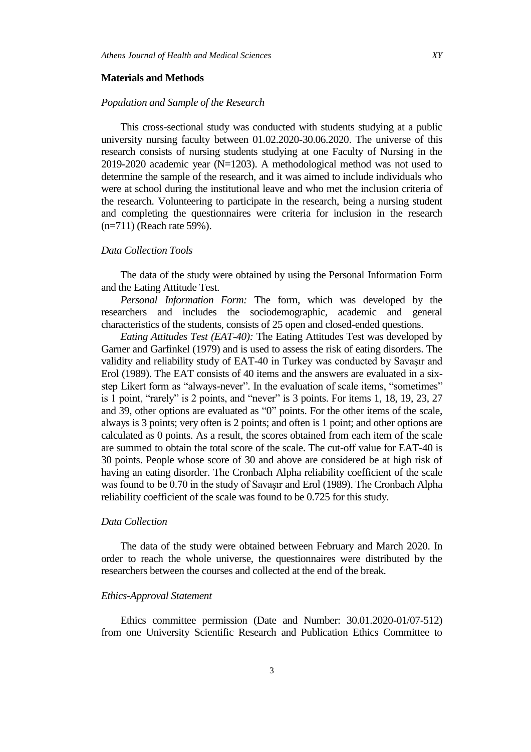### **Materials and Methods**

### *Population and Sample of the Research*

This cross-sectional study was conducted with students studying at a public university nursing faculty between 01.02.2020-30.06.2020. The universe of this research consists of nursing students studying at one Faculty of Nursing in the 2019-2020 academic year (N=1203). A methodological method was not used to determine the sample of the research, and it was aimed to include individuals who were at school during the institutional leave and who met the inclusion criteria of the research. Volunteering to participate in the research, being a nursing student and completing the questionnaires were criteria for inclusion in the research (n=711) (Reach rate 59%).

### *Data Collection Tools*

The data of the study were obtained by using the Personal Information Form and the Eating Attitude Test.

*Personal Information Form:* The form, which was developed by the researchers and includes the sociodemographic, academic and general characteristics of the students, consists of 25 open and closed-ended questions.

*Eating Attitudes Test (EAT-40):* The Eating Attitudes Test was developed by Garner and Garfinkel (1979) and is used to assess the risk of eating disorders. The validity and reliability study of EAT-40 in Turkey was conducted by Savaşır and Erol (1989). The EAT consists of 40 items and the answers are evaluated in a sixstep Likert form as "always-never". In the evaluation of scale items, "sometimes" is 1 point, "rarely" is 2 points, and "never" is 3 points. For items 1, 18, 19, 23, 27 and 39, other options are evaluated as "0" points. For the other items of the scale, always is 3 points; very often is 2 points; and often is 1 point; and other options are calculated as 0 points. As a result, the scores obtained from each item of the scale are summed to obtain the total score of the scale. The cut-off value for EAT-40 is 30 points. People whose score of 30 and above are considered be at high risk of having an eating disorder. The Cronbach Alpha reliability coefficient of the scale was found to be 0.70 in the study of Savaşır and Erol (1989). The Cronbach Alpha reliability coefficient of the scale was found to be 0.725 for this study.

### *Data Collection*

The data of the study were obtained between February and March 2020. In order to reach the whole universe, the questionnaires were distributed by the researchers between the courses and collected at the end of the break.

# *Ethics-Approval Statement*

Ethics committee permission (Date and Number: 30.01.2020-01/07-512) from one University Scientific Research and Publication Ethics Committee to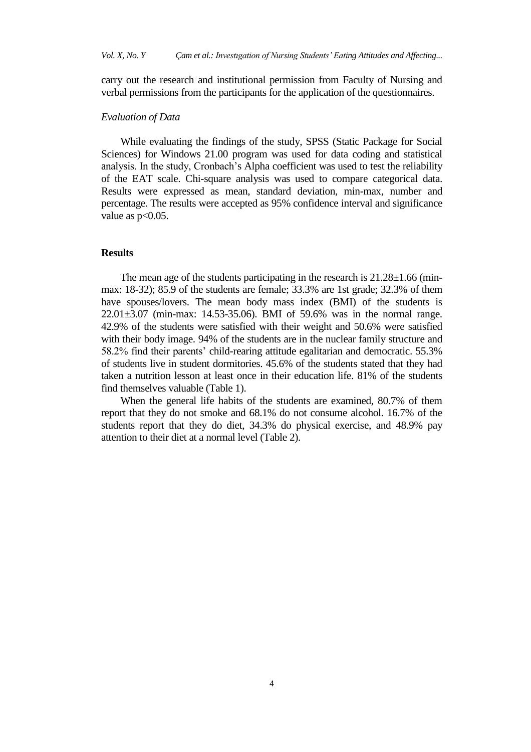carry out the research and institutional permission from Faculty of Nursing and verbal permissions from the participants for the application of the questionnaires.

#### *Evaluation of Data*

While evaluating the findings of the study, SPSS (Static Package for Social Sciences) for Windows 21.00 program was used for data coding and statistical analysis. In the study, Cronbach's Alpha coefficient was used to test the reliability of the EAT scale. Chi-square analysis was used to compare categorical data. Results were expressed as mean, standard deviation, min-max, number and percentage. The results were accepted as 95% confidence interval and significance value as  $p<0.05$ .

#### **Results**

The mean age of the students participating in the research is  $21.28 \pm 1.66$  (minmax: 18-32); 85.9 of the students are female; 33.3% are 1st grade; 32.3% of them have spouses/lovers. The mean body mass index (BMI) of the students is 22.01±3.07 (min-max: 14.53-35.06). BMI of 59.6% was in the normal range. 42.9% of the students were satisfied with their weight and 50.6% were satisfied with their body image. 94% of the students are in the nuclear family structure and 58.2% find their parents' child-rearing attitude egalitarian and democratic. 55.3% of students live in student dormitories. 45.6% of the students stated that they had taken a nutrition lesson at least once in their education life. 81% of the students find themselves valuable (Table 1).

When the general life habits of the students are examined, 80.7% of them report that they do not smoke and 68.1% do not consume alcohol. 16.7% of the students report that they do diet, 34.3% do physical exercise, and 48.9% pay attention to their diet at a normal level (Table 2).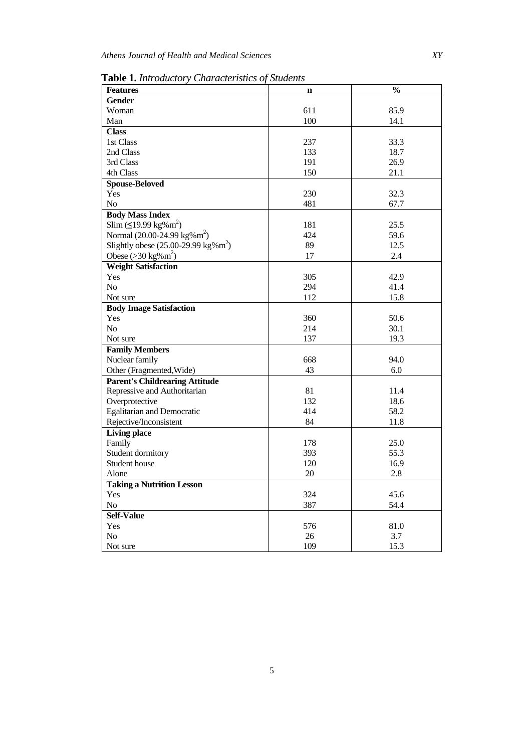| <b>Features</b>                                            | $\mathbf n$ | $\frac{0}{0}$ |
|------------------------------------------------------------|-------------|---------------|
| Gender                                                     |             |               |
| Woman                                                      | 611         | 85.9          |
| Man                                                        | 100         | 14.1          |
| <b>Class</b>                                               |             |               |
| 1st Class                                                  | 237         | 33.3          |
| 2nd Class                                                  | 133         | 18.7          |
| 3rd Class                                                  | 191         | 26.9          |
| 4th Class                                                  | 150         | 21.1          |
| <b>Spouse-Beloved</b>                                      |             |               |
| <b>Yes</b>                                                 | 230         | 32.3          |
| No                                                         | 481         | 67.7          |
| <b>Body Mass Index</b>                                     |             |               |
| Slim (≤19.99 kg%m <sup>2</sup> )                           | 181         | 25.5          |
| Normal $(20.00-24.99 \text{ kg} \cdot \text{m}^2)$         | 424         | 59.6          |
| Slightly obese $(25.00-29.99 \text{ kg} \cdot \text{m}^2)$ | 89          | 12.5          |
| Obese ( $>30 \text{ kg}$ %m <sup>2</sup> )                 | 17          | 2.4           |
| <b>Weight Satisfaction</b>                                 |             |               |
| Yes                                                        | 305         | 42.9          |
| N <sub>o</sub>                                             | 294         | 41.4          |
| Not sure                                                   | 112         | 15.8          |
| <b>Body Image Satisfaction</b>                             |             |               |
| Yes                                                        | 360         | 50.6          |
| N <sub>0</sub>                                             | 214         | 30.1          |
| Not sure                                                   | 137         | 19.3          |
| <b>Family Members</b>                                      |             |               |
| Nuclear family                                             | 668         | 94.0          |
| Other (Fragmented, Wide)                                   | 43          | 6.0           |
| <b>Parent's Childrearing Attitude</b>                      |             |               |
| Repressive and Authoritarian                               | 81          | 11.4          |
| Overprotective                                             | 132         | 18.6          |
| <b>Egalitarian and Democratic</b>                          | 414         | 58.2          |
| Rejective/Inconsistent                                     | 84          | 11.8          |
| <b>Living place</b>                                        |             |               |
| Family                                                     | 178         | 25.0          |
| Student dormitory                                          | 393         | 55.3          |
| Student house                                              | 120         | 16.9          |
| Alone                                                      | 20          | 2.8           |
| <b>Taking a Nutrition Lesson</b>                           |             |               |
| Yes                                                        | 324         | 45.6          |
| N <sub>o</sub>                                             | 387         | 54.4          |
| <b>Self-Value</b>                                          |             |               |
| Yes                                                        | 576         | 81.0          |
| N <sub>0</sub>                                             | 26          | 3.7           |
| Not sure                                                   | 109         | 15.3          |

**Table 1.** *Introductory Characteristics of Students*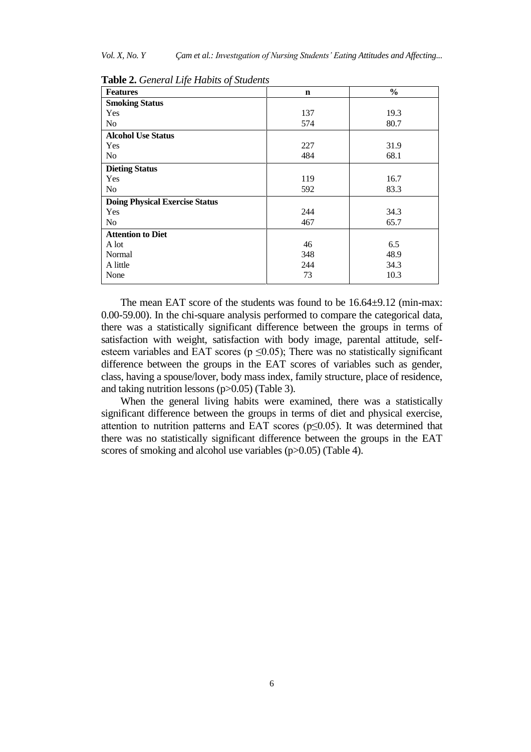*Vol. X, No. Y Çam et al.: Investıgation of Nursing Students' Eating Attitudes and Affecting...*

| <b>Features</b>                       | $\mathbf n$ | $\frac{0}{0}$ |
|---------------------------------------|-------------|---------------|
| <b>Smoking Status</b>                 |             |               |
| Yes                                   | 137         | 19.3          |
| N <sub>o</sub>                        | 574         | 80.7          |
| <b>Alcohol Use Status</b>             |             |               |
| Yes                                   | 227         | 31.9          |
| N <sub>o</sub>                        | 484         | 68.1          |
| <b>Dieting Status</b>                 |             |               |
| Yes                                   | 119         | 16.7          |
| No                                    | 592         | 83.3          |
| <b>Doing Physical Exercise Status</b> |             |               |
| Yes                                   | 244         | 34.3          |
| No                                    | 467         | 65.7          |
| <b>Attention to Diet</b>              |             |               |
| A lot                                 | 46          | 6.5           |
| Normal                                | 348         | 48.9          |
| A little                              | 244         | 34.3          |
| None                                  | 73          | 10.3          |

**Table 2.** *General Life Habits of Students*

The mean EAT score of the students was found to be 16.64±9.12 (min-max: 0.00-59.00). In the chi-square analysis performed to compare the categorical data, there was a statistically significant difference between the groups in terms of satisfaction with weight, satisfaction with body image, parental attitude, selfesteem variables and EAT scores ( $p \le 0.05$ ); There was no statistically significant difference between the groups in the EAT scores of variables such as gender, class, having a spouse/lover, body mass index, family structure, place of residence, and taking nutrition lessons (p>0.05) (Table 3).

When the general living habits were examined, there was a statistically significant difference between the groups in terms of diet and physical exercise, attention to nutrition patterns and EAT scores ( $p \le 0.05$ ). It was determined that there was no statistically significant difference between the groups in the EAT scores of smoking and alcohol use variables (p>0.05) (Table 4).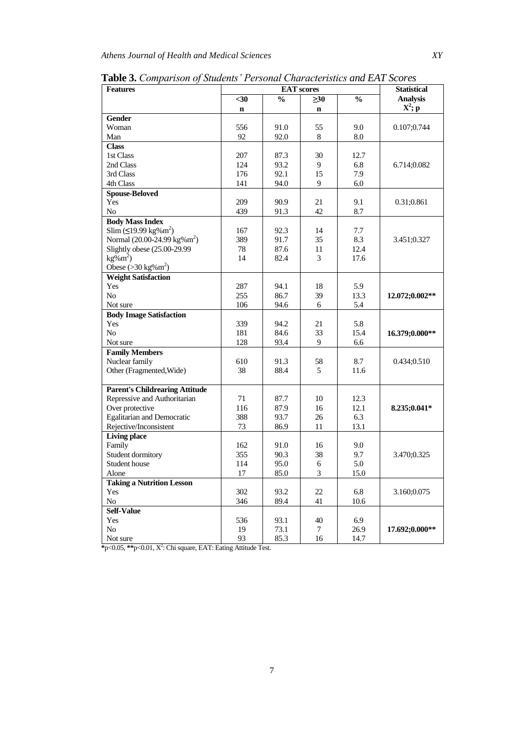| <b>Features</b>                         | <b>EAT</b> scores |               |             |               | <b>Statistical</b> |
|-----------------------------------------|-------------------|---------------|-------------|---------------|--------------------|
|                                         | <30               | $\frac{0}{0}$ | >30         | $\frac{0}{0}$ | <b>Analysis</b>    |
|                                         | $\mathbf n$       |               | $\mathbf n$ |               | $X^2$ ; p          |
| <b>Gender</b>                           |                   |               |             |               |                    |
| Woman                                   | 556               | 91.0          | 55          | 9.0           | 0.107;0.744        |
| Man                                     | 92                | 92.0          | 8           | 8.0           |                    |
| <b>Class</b>                            |                   |               |             |               |                    |
| 1st Class                               | 207               | 87.3          | 30          | 12.7          |                    |
| 2nd Class                               | 124               | 93.2          | 9           | 6.8           | 6.714;0.082        |
| 3rd Class                               | 176               | 92.1          | 15          | 7.9           |                    |
| 4th Class                               | 141               | 94.0          | 9           | 6.0           |                    |
| <b>Spouse-Beloved</b>                   |                   |               |             |               |                    |
| Yes                                     | 209               | 90.9          | 21          | 9.1           | 0.31;0.861         |
| N <sub>o</sub>                          | 439               | 91.3          | 42          | 8.7           |                    |
| <b>Body Mass Index</b>                  |                   |               |             |               |                    |
| Slim (≤19.99 kg%m <sup>2</sup> )        | 167               | 92.3          | 14          | 7.7           |                    |
| Normal (20.00-24.99 kg%m <sup>2</sup> ) | 389               | 91.7          | 35          | 8.3           | 3.451;0.327        |
| Slightly obese (25.00-29.99             | 78                | 87.6          | 11          | 12.4          |                    |
| $kg\%m^2$                               | 14                | 82.4          | 3           | 17.6          |                    |
| Obese ( $>30$ kg%m <sup>2</sup> )       |                   |               |             |               |                    |
| <b>Weight Satisfaction</b>              |                   |               |             |               |                    |
| Yes                                     | 287               | 94.1          | 18          | 5.9           |                    |
| N <sub>o</sub>                          | 255               | 86.7          | 39          | 13.3          | 12.072;0.002**     |
| Not sure                                | 106               | 94.6          | 6           | 5.4           |                    |
| <b>Body Image Satisfaction</b>          |                   |               |             |               |                    |
| Yes                                     | 339               | 94.2          | 21          | 5.8           |                    |
| No                                      | 181               | 84.6          | 33          | 15.4          | 16.379;0.000**     |
| Not sure                                | 128               | 93.4          | 9           | 6.6           |                    |
| <b>Family Members</b>                   |                   |               |             |               |                    |
| Nuclear family                          | 610               | 91.3          | 58          | 8.7           | 0.434;0.510        |
| Other (Fragmented, Wide)                | 38                | 88.4          | 5           | 11.6          |                    |
|                                         |                   |               |             |               |                    |
| <b>Parent's Childrearing Attitude</b>   |                   |               |             |               |                    |
| Repressive and Authoritarian            | 71                | 87.7          | 10          | 12.3          |                    |
| Over protective                         | 116               | 87.9          | 16          | 12.1          | 8.235;0.041*       |
| <b>Egalitarian and Democratic</b>       | 388               | 93.7          | 26          | 6.3           |                    |
| Rejective/Inconsistent                  | 73                | 86.9          | 11          | 13.1          |                    |
| <b>Living place</b>                     |                   |               |             |               |                    |
| Family                                  | 162               | 91.0          | 16          | 9.0           |                    |
| Student dormitory                       | 355               | 90.3          | 38          | 9.7           | 3.470;0.325        |
| Student house                           | 114               | 95.0          | 6           | 5.0           |                    |
| Alone                                   | 17                | 85.0          | 3           | 15.0          |                    |
| <b>Taking a Nutrition Lesson</b>        |                   |               |             |               |                    |
| Yes                                     | 302               | 93.2          | 22          | 6.8           | 3.160;0.075        |
| N <sub>o</sub>                          | 346               | 89.4          | 41          | 10.6          |                    |
| <b>Self-Value</b>                       |                   |               |             |               |                    |
| Yes                                     | 536               | 93.1          | 40          | 6.9           |                    |
| N <sub>o</sub>                          | 19                | 73.1          | 7           | 26.9          | 17.692;0.000**     |
| Not sure                                | 93                | 85.3          | 16          | 14.7          |                    |

**Table 3.** *Comparison of Students' Personal Characteristics and EAT Scores*

**\***p<0.05, **\*\***p<0.01, X 2 : Chi square, EAT: Eating Attitude Test.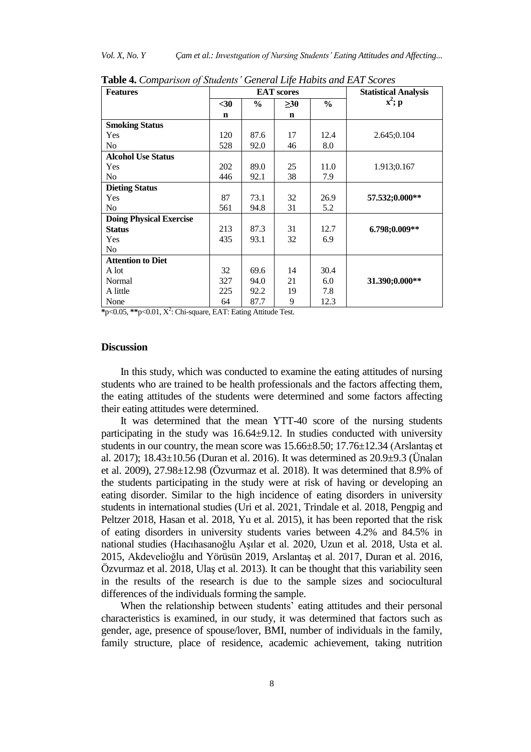*Vol. X, No. Y Çam et al.: Investıgation of Nursing Students' Eating Attitudes and Affecting...*

| <b>Features</b>                | <b>EAT</b> scores |               |             |               | <b>Statistical Analysis</b> |
|--------------------------------|-------------------|---------------|-------------|---------------|-----------------------------|
|                                | $30$              | $\frac{6}{9}$ | $\geq 30$   | $\frac{0}{0}$ | $x^2$ ; p                   |
|                                | n                 |               | $\mathbf n$ |               |                             |
| <b>Smoking Status</b>          |                   |               |             |               |                             |
| Yes                            | 120               | 87.6          | 17          | 12.4          | 2.645;0.104                 |
| N <sub>0</sub>                 | 528               | 92.0          | 46          | 8.0           |                             |
| <b>Alcohol Use Status</b>      |                   |               |             |               |                             |
| Yes                            | 202               | 89.0          | 25          | 11.0          | 1.913;0.167                 |
| No                             | 446               | 92.1          | 38          | 7.9           |                             |
| <b>Dieting Status</b>          |                   |               |             |               |                             |
| Yes                            | 87                | 73.1          | 32          | 26.9          | 57.532;0.000**              |
| No                             | 561               | 94.8          | 31          | 5.2           |                             |
| <b>Doing Physical Exercise</b> |                   |               |             |               |                             |
| <b>Status</b>                  | 213               | 87.3          | 31          | 12.7          | 6.798;0.009**               |
| Yes                            | 435               | 93.1          | 32          | 6.9           |                             |
| No                             |                   |               |             |               |                             |
| <b>Attention to Diet</b>       |                   |               |             |               |                             |
| A lot                          | 32                | 69.6          | 14          | 30.4          |                             |
| Normal                         | 327               | 94.0          | 21          | 6.0           | 31.390;0.000**              |
| A little                       | 225               | 92.2          | 19          | 7.8           |                             |
| None                           | 64                | 87.7          | 9           | 12.3          |                             |

**Table 4.** *Comparison of Students' General Life Habits and EAT Scores*

**\***p<0.05, **\*\***p<0.01, X 2 : Chi-square, EAT: Eating Attitude Test.

# **Discussion**

In this study, which was conducted to examine the eating attitudes of nursing students who are trained to be health professionals and the factors affecting them, the eating attitudes of the students were determined and some factors affecting their eating attitudes were determined.

It was determined that the mean YTT-40 score of the nursing students participating in the study was 16.64±9.12. In studies conducted with university students in our country, the mean score was 15.66±8.50; 17.76±12.34 (Arslantaş et al. 2017); 18.43±10.56 (Duran et al. 2016). It was determined as 20.9±9.3 (Ünalan et al. 2009), 27.98±12.98 (Özvurmaz et al. 2018). It was determined that 8.9% of the students participating in the study were at risk of having or developing an eating disorder. Similar to the high incidence of eating disorders in university students in international studies (Uri et al. 2021, Trindale et al. 2018, Pengpig and Peltzer 2018, Hasan et al. 2018, Yu et al. 2015), it has been reported that the risk of eating disorders in university students varies between 4.2% and 84.5% in national studies (Hacıhasanoğlu Aşılar et al. 2020, Uzun et al. 2018, Usta et al. 2015, Akdevelioğlu and Yörüsün 2019, Arslantaş et al. 2017, Duran et al. 2016, Özvurmaz et al. 2018, Ulaş et al. 2013). It can be thought that this variability seen in the results of the research is due to the sample sizes and sociocultural differences of the individuals forming the sample.

When the relationship between students' eating attitudes and their personal characteristics is examined, in our study, it was determined that factors such as gender, age, presence of spouse/lover, BMI, number of individuals in the family, family structure, place of residence, academic achievement, taking nutrition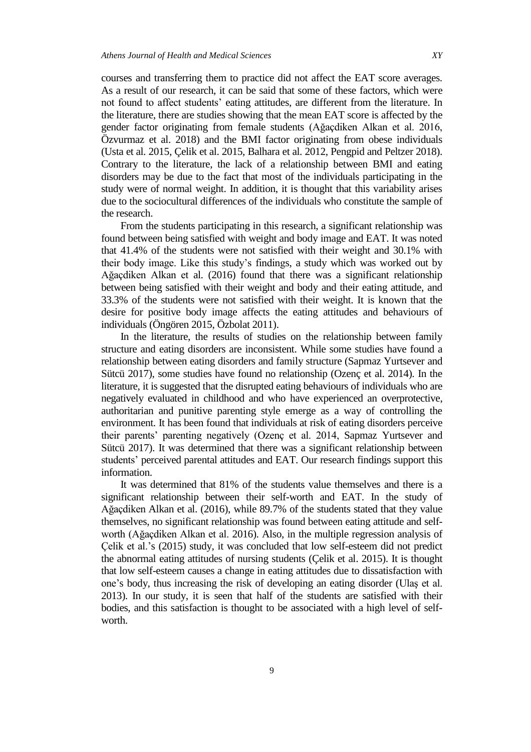courses and transferring them to practice did not affect the EAT score averages. As a result of our research, it can be said that some of these factors, which were not found to affect students' eating attitudes, are different from the literature. In the literature, there are studies showing that the mean EAT score is affected by the gender factor originating from female students (Ağaçdiken Alkan et al. 2016, Özvurmaz et al. 2018) and the BMI factor originating from obese individuals (Usta et al. 2015, Çelik et al. 2015, Balhara et al. 2012, Pengpid and Peltzer 2018). Contrary to the literature, the lack of a relationship between BMI and eating disorders may be due to the fact that most of the individuals participating in the study were of normal weight. In addition, it is thought that this variability arises due to the sociocultural differences of the individuals who constitute the sample of the research.

From the students participating in this research, a significant relationship was found between being satisfied with weight and body image and EAT. It was noted that 41.4% of the students were not satisfied with their weight and 30.1% with their body image. Like this study's findings, a study which was worked out by Ağaçdiken Alkan et al. (2016) found that there was a significant relationship between being satisfied with their weight and body and their eating attitude, and 33.3% of the students were not satisfied with their weight. It is known that the desire for positive body image affects the eating attitudes and behaviours of individuals (Öngören 2015, Özbolat 2011).

In the literature, the results of studies on the relationship between family structure and eating disorders are inconsistent. While some studies have found a relationship between eating disorders and family structure (Sapmaz Yurtsever and Sütcü 2017), some studies have found no relationship (Ozenç et al. 2014). In the literature, it is suggested that the disrupted eating behaviours of individuals who are negatively evaluated in childhood and who have experienced an overprotective, authoritarian and punitive parenting style emerge as a way of controlling the environment. It has been found that individuals at risk of eating disorders perceive their parents' parenting negatively (Ozenç et al. 2014, Sapmaz Yurtsever and Sütcü 2017). It was determined that there was a significant relationship between students' perceived parental attitudes and EAT. Our research findings support this information.

It was determined that 81% of the students value themselves and there is a significant relationship between their self-worth and EAT. In the study of Ağaçdiken Alkan et al. (2016), while 89.7% of the students stated that they value themselves, no significant relationship was found between eating attitude and selfworth (Ağaçdiken Alkan et al. 2016). Also, in the multiple regression analysis of Çelik et al.'s (2015) study, it was concluded that low self-esteem did not predict the abnormal eating attitudes of nursing students (Çelik et al. 2015). It is thought that low self-esteem causes a change in eating attitudes due to dissatisfaction with one's body, thus increasing the risk of developing an eating disorder (Ulaş et al. 2013). In our study, it is seen that half of the students are satisfied with their bodies, and this satisfaction is thought to be associated with a high level of selfworth.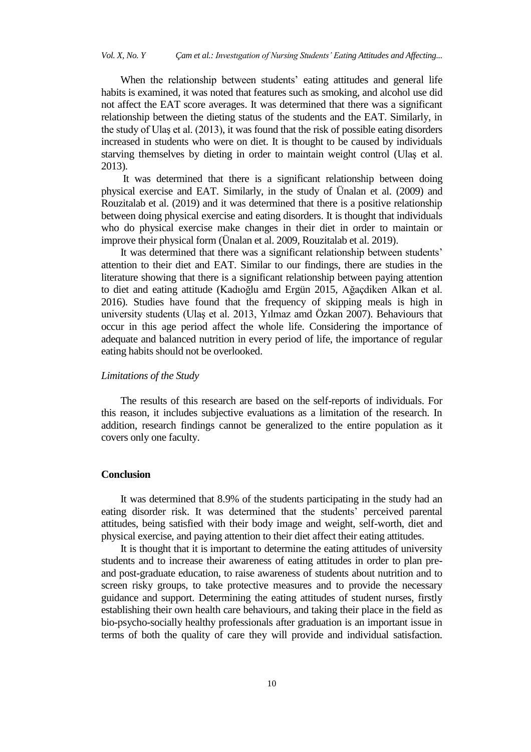When the relationship between students' eating attitudes and general life habits is examined, it was noted that features such as smoking, and alcohol use did not affect the EAT score averages. It was determined that there was a significant relationship between the dieting status of the students and the EAT. Similarly, in the study of Ulaş et al. (2013), it was found that the risk of possible eating disorders increased in students who were on diet. It is thought to be caused by individuals starving themselves by dieting in order to maintain weight control (Ulaş et al. 2013).

It was determined that there is a significant relationship between doing physical exercise and EAT. Similarly, in the study of Ünalan et al. (2009) and Rouzitalab et al. (2019) and it was determined that there is a positive relationship between doing physical exercise and eating disorders. It is thought that individuals who do physical exercise make changes in their diet in order to maintain or improve their physical form (Ünalan et al. 2009, Rouzitalab et al. 2019).

It was determined that there was a significant relationship between students' attention to their diet and EAT. Similar to our findings, there are studies in the literature showing that there is a significant relationship between paying attention to diet and eating attitude (Kadıoğlu amd Ergün 2015, Ağaçdiken Alkan et al. 2016). Studies have found that the frequency of skipping meals is high in university students (Ulaş et al. 2013, Yılmaz amd Özkan 2007). Behaviours that occur in this age period affect the whole life. Considering the importance of adequate and balanced nutrition in every period of life, the importance of regular eating habits should not be overlooked.

### *Limitations of the Study*

The results of this research are based on the self-reports of individuals. For this reason, it includes subjective evaluations as a limitation of the research. In addition, research findings cannot be generalized to the entire population as it covers only one faculty.

### **Conclusion**

It was determined that 8.9% of the students participating in the study had an eating disorder risk. It was determined that the students' perceived parental attitudes, being satisfied with their body image and weight, self-worth, diet and physical exercise, and paying attention to their diet affect their eating attitudes.

It is thought that it is important to determine the eating attitudes of university students and to increase their awareness of eating attitudes in order to plan preand post-graduate education, to raise awareness of students about nutrition and to screen risky groups, to take protective measures and to provide the necessary guidance and support. Determining the eating attitudes of student nurses, firstly establishing their own health care behaviours, and taking their place in the field as bio-psycho-socially healthy professionals after graduation is an important issue in terms of both the quality of care they will provide and individual satisfaction.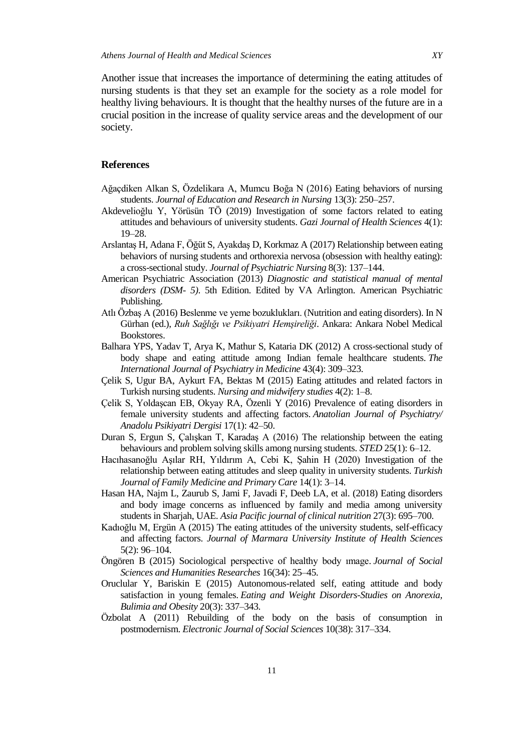Another issue that increases the importance of determining the eating attitudes of nursing students is that they set an example for the society as a role model for healthy living behaviours. It is thought that the healthy nurses of the future are in a crucial position in the increase of quality service areas and the development of our society.

## **References**

- Ağaçdiken Alkan S, Özdelikara A, Mumcu Boğa N (2016) Eating behaviors of nursing students. *Journal of Education and Research in Nursing* 13(3): 250–257.
- Akdevelioğlu Y, Yörüsün TÖ (2019) Investigation of some factors related to eating attitudes and behaviours of university students. *Gazi Journal of Health Sciences* 4(1): 19–28.
- Arslantaş H, Adana F, Öğüt S, Ayakdaş D, Korkmaz A (2017) Relationship between eating behaviors of nursing students and orthorexia nervosa (obsession with healthy eating): a cross-sectional study. *Journal of Psychiatric Nursing* 8(3): 137–144.
- American Psychiatric Association (2013) *Diagnostic and statistical manual of mental disorders (DSM- 5)*. 5th Edition. Edited by VA Arlington. American Psychiatric Publishing.
- Atlı Özbaş A (2016) Beslenme ve yeme bozuklukları. (Nutrition and eating disorders). In N Gürhan (ed.), *Ruh Sağlığı ve Psikiyatri Hemşireliği*. Ankara: Ankara Nobel Medical Bookstores.
- Balhara YPS, Yadav T, Arya K, Mathur S, Kataria DK (2012) A cross-sectional study of body shape and eating attitude among Indian female healthcare students. *The International Journal of Psychiatry in Medicine* 43(4): 309–323.
- Çelik S, Ugur BA, Aykurt FA, Bektas M (2015) Eating attitudes and related factors in Turkish nursing students. *Nursing and midwifery studies* 4(2): 1–8.
- Çelik S, Yoldaşcan EB, Okyay RA, Özenli Y (2016) Prevalence of eating disorders in female university students and affecting factors. *Anatolian Journal of Psychiatry/ Anadolu Psikiyatri Dergisi* 17(1): 42–50.
- Duran S, Ergun S, Çalışkan T, Karadaş A (2016) The relationship between the eating behaviours and problem solving skills among nursing students. *STED* 25(1): 6–12.
- Hacıhasanoğlu Aşılar RH, Yıldırım A, Cebi K, Şahin H (2020) Investigation of the relationship between eating attitudes and sleep quality in university students. *Turkish Journal of Family Medicine and Primary Care* 14(1): 3–14.
- Hasan HA, Najm L, Zaurub S, Jami F, Javadi F, Deeb LA, et al. (2018) Eating disorders and body image concerns as influenced by family and media among university students in Sharjah, UAE. *Asia Pacific journal of clinical nutrition* 27(3): 695–700.
- Kadıoğlu M, Ergün A (2015) The eating attitudes of the university students, self-efficacy and affecting factors. *Journal of Marmara University Institute of Health Sciences* 5(2): 96–104.
- Öngören B (2015) Sociological perspective of healthy body ımage. *Journal of Social Sciences and Humanities Researches* 16(34): 25–45.
- Oruclular Y, Bariskin E (2015) Autonomous-related self, eating attitude and body satisfaction in young females. *Eating and Weight Disorders-Studies on Anorexia, Bulimia and Obesity* 20(3): 337–343.
- Özbolat A (2011) Rebuilding of the body on the basis of consumption in postmodernism. *Electronic Journal of Social Sciences* 10(38): 317–334.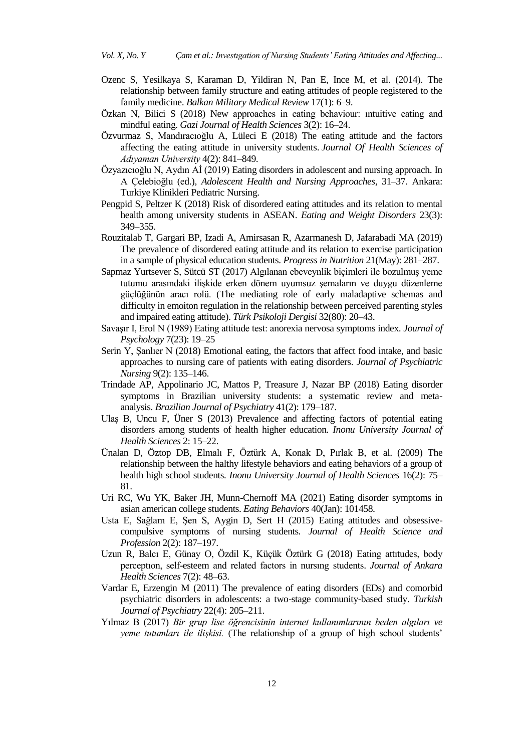- Ozenc S, Yesilkaya S, Karaman D, Yildiran N, Pan E, Ince M, et al. (2014). The relationship between family structure and eating attitudes of people registered to the family medicine. *Balkan Military Medical Review* 17(1): 6–9.
- Özkan N, Bilici S (2018) New approaches in eating behaviour: ıntuitive eating and mindful eating. *Gazi Journal of Health Sciences* 3(2): 16–24.
- Özvurmaz S, Mandıracıoğlu A, Lüleci E (2018) The eating attitude and the factors affecting the eating attitude in university students. *Journal Of Health Sciences of Adıyaman University* 4(2): 841–849.
- Özyazıcıoğlu N, Aydın Aİ (2019) Eating disorders in adolescent and nursing approach. In A Çelebioğlu (ed.), *Adolescent Health and Nursing Approaches*, 31–37. Ankara: [Turkiye Klinikleri Pediatric Nursing.](https://www.turkiyeklinikleri.com/journal/pediatric-nursing-special-topics/2149-5998/en-index.html)
- Pengpid S, Peltzer K (2018) Risk of disordered eating attitudes and its relation to mental health among university students in ASEAN. *Eating and Weight Disorders* 23(3): 349–355.
- Rouzitalab T, Gargari BP, Izadi A, Amirsasan R, Azarmanesh D, Jafarabadi MA (2019) The prevalence of disordered eating attitude and its relation to exercise participation in a sample of physical education students. *Progress in Nutrition* 21(May): 281–287.
- Sapmaz Yurtsever S, Sütcü ST (2017) Algılanan ebeveynlik biçimleri ile bozulmuş yeme tutumu arasındaki ilişkide erken dönem uyumsuz şemaların ve duygu düzenleme güçlüğünün aracı rolü. (The mediating role of early maladaptive schemas and difficulty in emoiton regulation in the relationship between perceived parenting styles and impaired eating attitude). *Türk Psikoloji Dergisi* 32(80): 20–43.
- Savaşır I, Erol N (1989) Eating attitude test: anorexia nervosa symptoms index. *Journal of Psychology* 7(23): 19–25
- Serin Y, Şanlıer N (2018) Emotional eating, the factors that affect food intake, and basic approaches to nursing care of patients with eating disorders. *Journal of Psychiatric Nursing* 9(2): 135–146.
- Trindade AP, Appolinario JC, Mattos P, Treasure J, Nazar BP (2018) Eating disorder symptoms in Brazilian university students: a systematic review and metaanalysis. *Brazilian Journal of Psychiatry* 41(2): 179–187.
- Ulaş B, Uncu F, Üner S (2013) Prevalence and affecting factors of potential eating disorders among students of health higher education. *Inonu University Journal of Health Sciences* 2: 15–22.
- Ünalan D, Öztop DB, Elmalı F, Öztürk A, Konak D, Pırlak B, et al. (2009) The relationship between the halthy lifestyle behaviors and eating behaviors of a group of health high school students*. Inonu University Journal of Health Sciences* 16(2): 75– 81.
- Uri RC, Wu YK, Baker JH, Munn-Chernoff MA (2021) Eating disorder symptoms in asian american college students. *Eating Behaviors* 40(Jan): 101458.
- Usta E, Sağlam E, Şen S, Aygin D, Sert H (2015) Eating attitudes and obsessivecompulsive symptoms of nursing students. *Journal of Health Science and Profession* 2(2): 187–197.
- Uzun R, Balcı E, Günay O, Özdil K, Küçük Öztürk G (2018) Eating attıtudes, body perceptıon, self-esteem and related factors in nursıng students. *Journal of Ankara Health Sciences* 7(2): 48–63.
- Vardar E, Erzengin M (2011) The prevalence of eating disorders (EDs) and comorbid psychiatric disorders in adolescents: a two-stage community-based study. *Turkish Journal of Psychiatry* 22(4): 205–211.
- Yılmaz B (2017) *Bir grup lise öğrencisinin internet kullanımlarının beden algıları ve yeme tutumları ile ilişkisi.* (The relationship of a group of high school students'